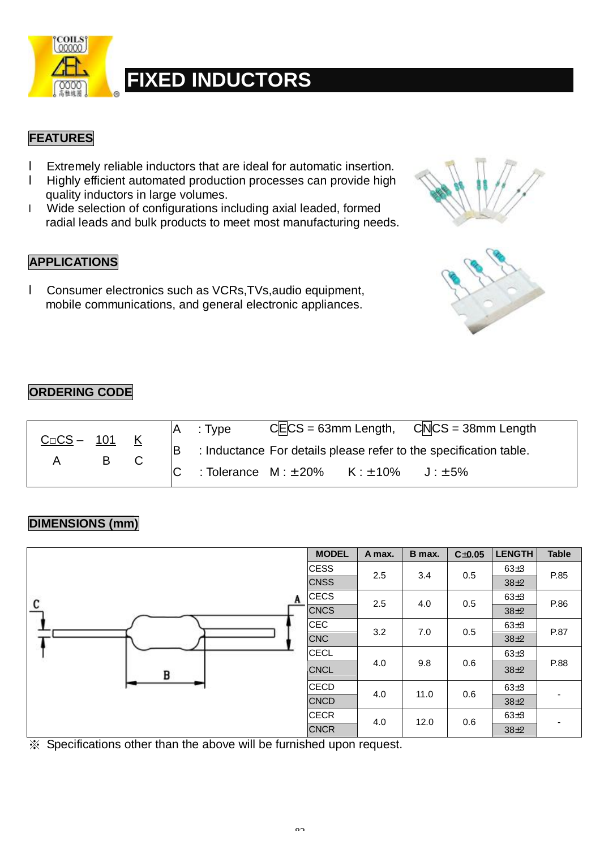

#### **FEATURES**

- l Extremely reliable inductors that are ideal for automatic insertion.
- l Highly efficient automated production processes can provide high quality inductors in large volumes.
- l Wide selection of configurations including axial leaded, formed radial leads and bulk products to meet most manufacturing needs.

#### **APPLICATIONS**

l Consumer electronics such as VCRs,TVs,audio equipment, mobile communications, and general electronic appliances.



#### **ORDERING CODE**

| $C \square CS - 101$ |   |  |  | : Type                                                            |  |              | $CE CS = 63$ mm Length, $CN CS = 38$ mm Length |  |
|----------------------|---|--|--|-------------------------------------------------------------------|--|--------------|------------------------------------------------|--|
|                      | B |  |  | : Inductance For details please refer to the specification table. |  |              |                                                |  |
|                      |   |  |  | : Tolerance $M: \pm 20\%$ $K: \pm 10\%$                           |  | $J: \pm 5\%$ |                                                |  |

#### **DIMENSIONS (mm)**

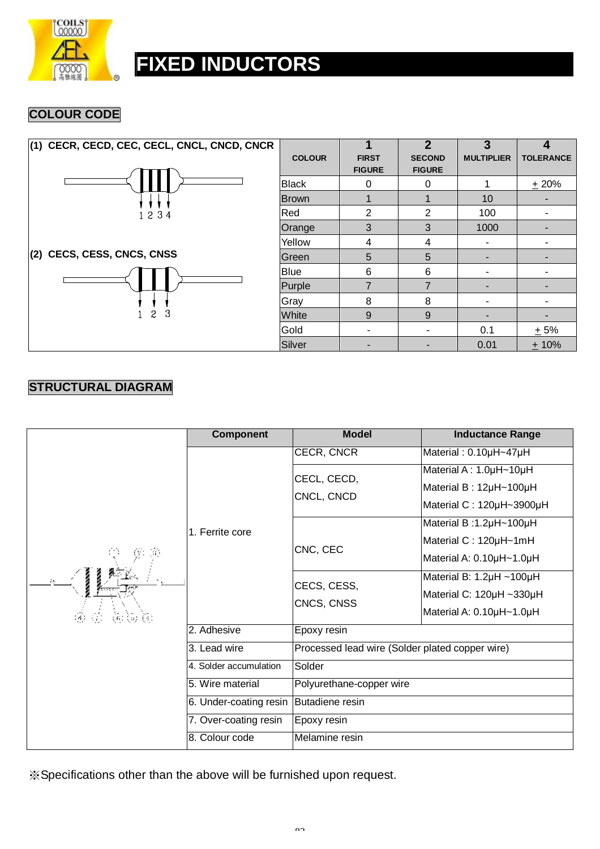

#### **COLOUR CODE**

| (1) CECR, CECD, CEC, CECL, CNCL, CNCD, CNCR |               |                               | 2                              | 3                 |                  |
|---------------------------------------------|---------------|-------------------------------|--------------------------------|-------------------|------------------|
|                                             | <b>COLOUR</b> | <b>FIRST</b><br><b>FIGURE</b> | <b>SECOND</b><br><b>FIGURE</b> | <b>MULTIPLIER</b> | <b>TOLERANCE</b> |
|                                             | <b>Black</b>  | 0                             | $\Omega$                       |                   | ± 20%            |
|                                             | lBrown.       |                               |                                | 10                |                  |
| 1234                                        | Red           | 2                             | 2                              | 100               |                  |
|                                             | Orange        | 3                             | 3                              | 1000              |                  |
|                                             | Yellow        | 4                             | 4                              |                   |                  |
| (2) CECS, CESS, CNCS, CNSS                  | lGreen.       | 5                             | 5                              |                   |                  |
|                                             | Blue          | 6                             | 6                              |                   |                  |
|                                             | Purple        | $\overline{7}$                | 7                              |                   |                  |
|                                             | Gray          | 8                             | 8                              |                   |                  |
| 3<br>$\overline{c}$                         | White         | 9                             | 9                              |                   |                  |
|                                             | Gold          |                               |                                | 0.1               | $+5%$            |
|                                             | Silver        |                               |                                | 0.01              | $+10%$           |

#### **STRUCTURAL DIAGRAM**

|                                                                                                                                                                                    | <b>Component</b>       | <b>Model</b>                                    | <b>Inductance Range</b>  |  |  |  |
|------------------------------------------------------------------------------------------------------------------------------------------------------------------------------------|------------------------|-------------------------------------------------|--------------------------|--|--|--|
|                                                                                                                                                                                    |                        | CECR, CNCR                                      | Material: 0.10µH~47µH    |  |  |  |
|                                                                                                                                                                                    |                        | CECL, CECD,                                     | Material A: 1.0µH~10µH   |  |  |  |
|                                                                                                                                                                                    |                        | CNCL, CNCD                                      | Material B: 12µH~100µH   |  |  |  |
|                                                                                                                                                                                    |                        |                                                 | Material C: 120µH~3900µH |  |  |  |
|                                                                                                                                                                                    | 1. Ferrite core        |                                                 | Material B:1.2µH~100µH   |  |  |  |
|                                                                                                                                                                                    |                        | CNC, CEC                                        | Material C: 120µH~1mH    |  |  |  |
|                                                                                                                                                                                    |                        |                                                 | Material A: 0.10µH~1.0µH |  |  |  |
|                                                                                                                                                                                    |                        | CECS, CESS,                                     | Material B: 1.2µH ~100µH |  |  |  |
|                                                                                                                                                                                    |                        | CNCS, CNSS                                      | Material C: 120µH ~330µH |  |  |  |
| $\langle \widehat{d} \rangle \cdot \langle \widehat{f} \rangle.$<br>$\langle \hat{\mathfrak{s}} \rangle$ $\langle \hat{\mathfrak{s}} \rangle$ $\langle \hat{\mathfrak{t}} \rangle$ |                        |                                                 | Material A: 0.10µH~1.0µH |  |  |  |
|                                                                                                                                                                                    | 2. Adhesive            | Epoxy resin                                     |                          |  |  |  |
|                                                                                                                                                                                    | 3. Lead wire           | Processed lead wire (Solder plated copper wire) |                          |  |  |  |
|                                                                                                                                                                                    | 4. Solder accumulation | Solder                                          |                          |  |  |  |
|                                                                                                                                                                                    | 5. Wire material       | Polyurethane-copper wire                        |                          |  |  |  |
|                                                                                                                                                                                    | 6. Under-coating resin | Butadiene resin                                 |                          |  |  |  |
|                                                                                                                                                                                    | 7. Over-coating resin  | Epoxy resin                                     |                          |  |  |  |
|                                                                                                                                                                                    | 8. Colour code         | Melamine resin                                  |                          |  |  |  |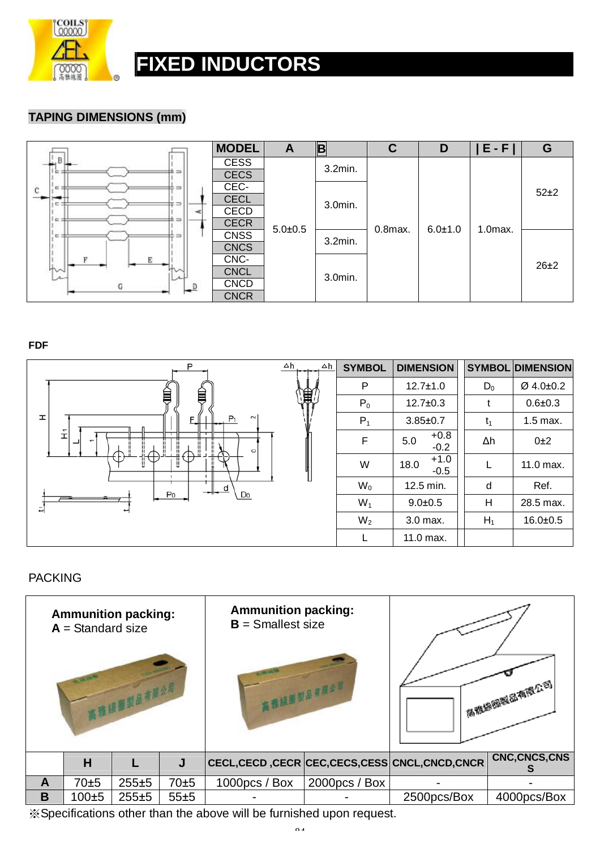

#### **TAPING DIMENSIONS (mm)**

|                                        | <b>MODEL</b> | A           | $\vert$ B | $\mathbf C$ | D             | $E - F$      | G        |
|----------------------------------------|--------------|-------------|-----------|-------------|---------------|--------------|----------|
| , B I                                  | <b>CESS</b>  |             | 3.2min.   |             |               |              |          |
| ± =<br>e                               | <b>CECS</b>  |             |           |             |               |              |          |
| E:<br>$\Rightarrow$ $\Rightarrow$<br>C | CEC-         |             |           |             |               |              | $52\pm2$ |
| C.                                     | <b>CECL</b>  |             | 3.0min.   |             |               |              |          |
|                                        | <b>CECD</b>  |             |           |             |               |              |          |
| 1 e =<br>$\pm =$                       | <b>CECR</b>  | $5.0 + 0.5$ |           | $0.8$ max.  | $6.0 \pm 1.0$ | $1.0$ $max.$ |          |
| $=$ $\pm$<br>≐⇒                        | <b>CNSS</b>  |             | 3.2min.   |             |               |              |          |
|                                        | <b>CNCS</b>  |             |           |             |               |              |          |
|                                        | CNC-         |             |           |             |               |              | $26\pm2$ |
| ΨW                                     | <b>CNCL</b>  |             | 3.0min.   |             |               |              |          |
| G                                      | <b>CNCD</b>  |             |           |             |               |              |          |
|                                        | <b>CNCR</b>  |             |           |             |               |              |          |

**FDF** 



#### PACKING

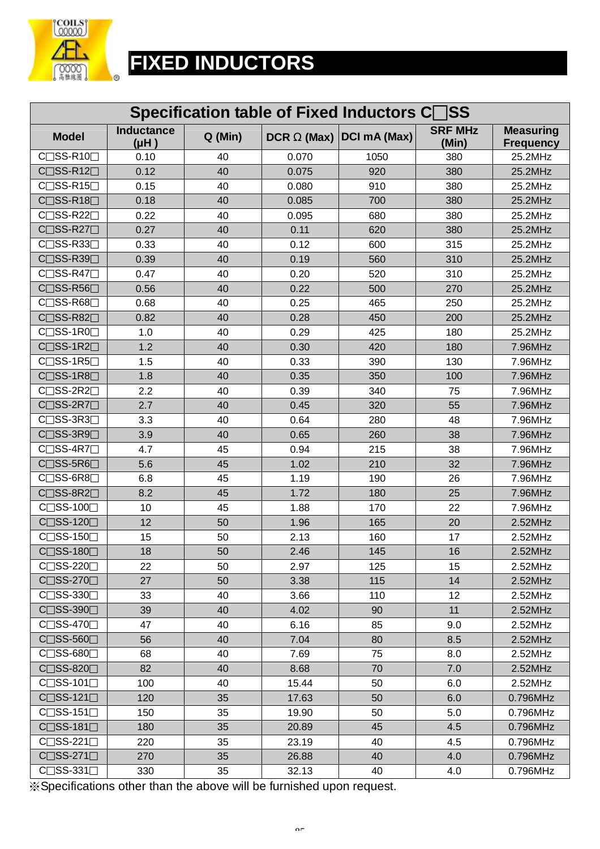

| Specification table of Fixed Inductors CSS |                               |         |       |                          |                         |                                      |  |  |
|--------------------------------------------|-------------------------------|---------|-------|--------------------------|-------------------------|--------------------------------------|--|--|
| <b>Model</b>                               | <b>Inductance</b><br>$(H\mu)$ | Q (Min) |       | DCR W (Max) DCI mA (Max) | <b>SRF MHz</b><br>(Min) | <b>Measuring</b><br><b>Frequency</b> |  |  |
| $C \square$ SS-R10 $\square$               | 0.10                          | 40      | 0.070 | 1050                     | 380                     | 25.2MHz                              |  |  |
| $C \square$ SS-R12 $\square$               | 0.12                          | 40      | 0.075 | 920                      | 380                     | 25.2MHz                              |  |  |
| $C \square$ SS-R15 $\square$               | 0.15                          | 40      | 0.080 | 910                      | 380                     | 25.2MHz                              |  |  |
| $C \square$ SS-R18 $\square$               | 0.18                          | 40      | 0.085 | 700                      | 380                     | 25.2MHz                              |  |  |
| $C \square$ SS-R22 $\square$               | 0.22                          | 40      | 0.095 | 680                      | 380                     | 25.2MHz                              |  |  |
| $C \square$ SS-R27 $\square$               | 0.27                          | 40      | 0.11  | 620                      | 380                     | 25.2MHz                              |  |  |
| C <sub>□</sub> SS-R33□                     | 0.33                          | 40      | 0.12  | 600                      | 315                     | 25.2MHz                              |  |  |
| C <sub>□</sub> SS-R39□                     | 0.39                          | 40      | 0.19  | 560                      | 310                     | 25.2MHz                              |  |  |
| $C \square$ SS-R47 $\square$               | 0.47                          | 40      | 0.20  | 520                      | 310                     | 25.2MHz                              |  |  |
| $C \square$ SS-R56 $\square$               | 0.56                          | 40      | 0.22  | 500                      | 270                     | 25.2MHz                              |  |  |
| C <sub>SS</sub> -R68                       | 0.68                          | 40      | 0.25  | 465                      | 250                     | 25.2MHz                              |  |  |
| C <sub>□</sub> SS-R82□                     | 0.82                          | 40      | 0.28  | 450                      | 200                     | 25.2MHz                              |  |  |
| C <sub>□</sub> SS-1R0□                     | 1.0                           | 40      | 0.29  | 425                      | 180                     | 25.2MHz                              |  |  |
| $C \square$ SS-1R2 $\square$               | 1.2                           | 40      | 0.30  | 420                      | 180                     | 7.96MHz                              |  |  |
| $C \square$ SS-1R5 $\square$               | 1.5                           | 40      | 0.33  | 390                      | 130                     | 7.96MHz                              |  |  |
| $C \square$ SS-1R8 $\square$               | 1.8                           | 40      | 0.35  | 350                      | 100                     | 7.96MHz                              |  |  |
| $C \square$ SS-2R2 $\square$               | 2.2                           | 40      | 0.39  | 340                      | 75                      | 7.96MHz                              |  |  |
| $C \square$ SS-2R7 $\square$               | 2.7                           | 40      | 0.45  | 320                      | 55                      | 7.96MHz                              |  |  |
| $C \square$ SS-3R3 $\square$               | 3.3                           | 40      | 0.64  | 280                      | 48                      | 7.96MHz                              |  |  |
| $C \square$ SS-3R9 $\square$               | 3.9                           | 40      | 0.65  | 260                      | 38                      | 7.96MHz                              |  |  |
| $C \square$ SS-4R7 $\square$               | 4.7                           | 45      | 0.94  | 215                      | 38                      | 7.96MHz                              |  |  |
| $C \square$ SS-5R6 $\square$               | 5.6                           | 45      | 1.02  | 210                      | 32                      | 7.96MHz                              |  |  |
| $C \square$ SS-6R8 $\square$               | 6.8                           | 45      | 1.19  | 190                      | 26                      | 7.96MHz                              |  |  |
| C <sub>□</sub> SS-8R2 <sub>□</sub>         | 8.2                           | 45      | 1.72  | 180                      | 25                      | 7.96MHz                              |  |  |
| $C \cap SS-100 \cap$                       | 10                            | 45      | 1.88  | 170                      | 22                      | 7.96MHz                              |  |  |
| C <sub>SS</sub> -120                       | 12                            | 50      | 1.96  | 165                      | 20                      | 2.52MHz                              |  |  |
| $C \square$ SS-150 $\square$               | 15                            | 50      | 2.13  | 160                      | 17                      | 2.52MHz                              |  |  |
| $C \square$ SS-180 $\square$               | 18                            | 50      | 2.46  | 145                      | 16                      | 2.52MHz                              |  |  |
| $C \cap SS-220 \cap$                       | 22                            | 50      | 2.97  | 125                      | 15                      | 2.52MHz                              |  |  |
| $C \square$ SS-270 $\square$               | 27                            | 50      | 3.38  | 115                      | 14                      | 2.52MHz                              |  |  |
| $C \square$ SS-330 $\square$               | 33                            | 40      | 3.66  | 110                      | 12                      | 2.52MHz                              |  |  |
| $C \square$ SS-390 $\square$               | 39                            | 40      | 4.02  | 90                       | 11                      | 2.52MHz                              |  |  |
| $C \square$ SS-470 $\square$               | 47                            | 40      | 6.16  | 85                       | 9.0                     | 2.52MHz                              |  |  |
| $C \square$ SS-560 $\square$               | 56                            | 40      | 7.04  | 80                       | 8.5                     | 2.52MHz                              |  |  |
| $C$ SS-680                                 | 68                            | 40      | 7.69  | 75                       | 8.0                     | 2.52MHz                              |  |  |
| $C \square$ SS-820 $\square$               | 82                            | 40      | 8.68  | 70                       | 7.0                     | 2.52MHz                              |  |  |
| $C \square$ SS-101 $\square$               | 100                           | 40      | 15.44 | 50                       | 6.0                     | 2.52MHz                              |  |  |
| $C \square$ SS-121 $\square$               | 120                           | 35      | 17.63 | 50                       | 6.0                     | 0.796MHz                             |  |  |
| $C \square$ SS-151 $\square$               | 150                           | 35      | 19.90 | 50                       | 5.0                     | 0.796MHz                             |  |  |
| $C \square$ SS-181 $\square$               | 180                           | 35      | 20.89 | 45                       | 4.5                     | 0.796MHz                             |  |  |
| $C \square$ SS-221 $\square$               | 220                           | 35      | 23.19 | 40                       | 4.5                     | 0.796MHz                             |  |  |
| $C \square$ SS-271 $\square$               | 270                           | 35      | 26.88 | 40                       | 4.0                     | 0.796MHz                             |  |  |
| $C \square$ SS-331 $\square$               | 330                           | 35      | 32.13 | 40                       | 4.0                     | 0.796MHz                             |  |  |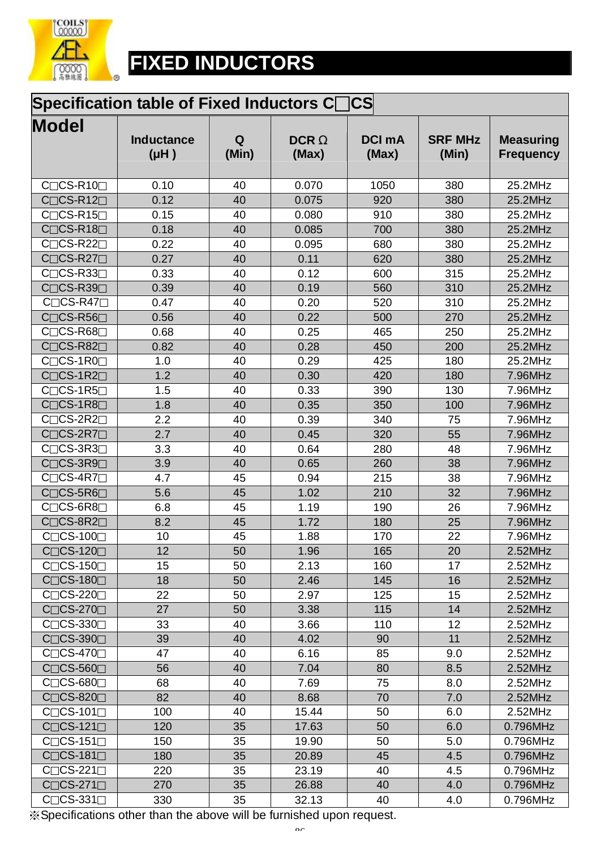

### **Specification table of Fixed Inductors C□CS**

| <b>Model</b>                                        | <b>Inductance</b><br>$(\mu H)$ | Q<br>(Min) | <b>DCRW</b><br>(Max) | <b>DCI mA</b><br>(Max) | <b>SRF MHz</b><br>(Min) | <b>Measuring</b><br><b>Frequency</b> |
|-----------------------------------------------------|--------------------------------|------------|----------------------|------------------------|-------------------------|--------------------------------------|
| C <sub>□</sub> CS-R10□                              | 0.10                           | 40         | 0.070                | 1050                   | 380                     | 25.2MHz                              |
| $C \square C S-R12 \square$                         | 0.12                           | 40         | 0.075                | 920                    | 380                     | 25.2MHz                              |
| $C \square C S - R 15 \square$                      | 0.15                           | 40         | 0.080                | 910                    | 380                     | 25.2MHz                              |
| $C \cap CS-R18 \cap$                                | 0.18                           | 40         | 0.085                | 700                    | 380                     | 25.2MHz                              |
| $C \cap CS-R22 \cap$                                | 0.22                           | 40         | 0.095                | 680                    | 380                     | 25.2MHz                              |
| CCS-R27                                             | 0.27                           | 40         | 0.11                 | 620                    | 380                     | 25.2MHz                              |
| $C \cap CS-R33 \cap$                                | 0.33                           | 40         | 0.12                 | 600                    | 315                     | 25.2MHz                              |
| $C\square$ CS-R39 $\square$                         | 0.39                           | 40         | 0.19                 | 560                    | 310                     | 25.2MHz                              |
| $C\square$ CS-R47 $\square$                         | 0.47                           | 40         | 0.20                 | 520                    | 310                     | 25.2MHz                              |
| $C\square$ CS-R56 $\square$                         | 0.56                           | 40         | 0.22                 | 500                    | 270                     | 25.2MHz                              |
| $C \cap CS-R68 \cap$                                | 0.68                           | 40         | 0.25                 | 465                    | 250                     | 25.2MHz                              |
| $C\square$ CS-R82 $\square$                         | 0.82                           | 40         | 0.28                 | 450                    | 200                     | 25.2MHz                              |
| $C \square C S-1 R 0 \square$                       | 1.0                            | 40         | 0.29                 | 425                    | 180                     | 25.2MHz                              |
| $C \cap CS-1R2 \square$                             | 1.2                            | 40         | 0.30                 | 420                    | 180                     | 7.96MHz                              |
| $C\square$ CS-1R5 $\square$                         | 1.5                            | 40         | 0.33                 | 390                    | 130                     | 7.96MHz                              |
| $C \cap CS-1R8 \cap$                                | 1.8                            | 40         | 0.35                 | 350                    | 100                     | 7.96MHz                              |
| $C \cap CS-2R2 \cap$                                | 2.2                            | 40         | 0.39                 | 340                    | 75                      | 7.96MHz                              |
| $C \square CS-2R7 \square$                          | 2.7                            | 40         | 0.45                 | 320                    | 55                      | 7.96MHz                              |
| $C\Box$ CS-3R3 $\Box$                               | 3.3                            | 40         | 0.64                 | 280                    | 48                      | 7.96MHz                              |
| $C \square C S$ -3R9 $\square$                      | 3.9                            | 40         | 0.65                 | 260                    | 38                      | 7.96MHz                              |
| $C \cap CS-4R7 \Box$                                | 4.7                            | 45         | 0.94                 | 215                    | 38                      | 7.96MHz                              |
| $C \square CS$ -5R6 $\square$                       | 5.6                            | 45         | 1.02                 | 210                    | 32                      | 7.96MHz                              |
| $C \cap CS$ -6R8 $\Box$                             | 6.8                            | 45         | 1.19                 | 190                    | 26                      | 7.96MHz                              |
| $C\square$ CS-8R2 $\square$                         | 8.2                            | 45         | 1.72                 | 180                    | 25                      | 7.96MHz                              |
| $\Box$ CS-100 $\Box$<br>$C\Gamma$                   | 10                             | 45         | 1.88                 | 170                    | 22                      | 7.96MHz                              |
| $C \cap CS-120 \square$                             | 12                             | 50         | 1.96                 | 165                    | 20                      | 2.52MHz                              |
| $C\square$ CS-150 $\square$                         | 15                             | 50         | 2.13                 | 160                    | 17                      | 2.52MHz                              |
| $C \cap CS-180 \cap$                                | 18                             | 50         | 2.46                 | 145                    | 16                      | 2.52MHz                              |
| $C\square$ CS-220 $\square$                         | 22                             | 50         | 2.97                 | 125                    | 15                      | 2.52MHz                              |
| $C\square$ CS-270 $\square$                         | 27                             | 50         | 3.38                 | 115                    | 14                      | 2.52MHz                              |
| C <sub>□</sub> CS-330□                              | 33                             | 40         | 3.66                 | 110                    | 12                      | 2.52MHz                              |
| C <sub>□</sub> CS-390 <sub>□</sub>                  | 39                             | 40         | 4.02                 | 90                     | 11                      | 2.52MHz                              |
| $C\square$ CS-470 $\square$                         | 47                             | 40         | 6.16                 | 85                     | 9.0                     | 2.52MHz                              |
| $C \square C S - 560 \square$                       | 56                             | 40         | 7.04                 | 80                     | 8.5                     | 2.52MHz                              |
| $C \cap CS-680 \square$                             | 68                             | 40         | 7.69                 | 75                     | 8.0                     | 2.52MHz                              |
| $C \cap CS-820 \square$                             | 82                             | 40         | 8.68                 | 70                     | 7.0                     | 2.52MHz                              |
| $\top$ CS-101 $\top$<br>$\mathsf{C}\mathsf{\Gamma}$ | 100                            | 40         | 15.44                | 50                     | 6.0                     | 2.52MHz                              |
| $C \cap CS-121 \square$                             | 120                            | 35         | 17.63                | 50                     | 6.0                     | 0.796MHz                             |
| $C\square$ CS-151 $\square$                         | 150                            | 35         | 19.90                | 50                     | 5.0                     | 0.796MHz                             |
| $C\square$ CS-181 $\square$                         | 180                            | 35         | 20.89                | 45                     | 4.5                     | 0.796MHz                             |
| ]CS-221⊟<br>$C\lceil$                               | 220                            | 35         | 23.19                | 40                     | 4.5                     | 0.796MHz                             |
| $C \square C S - 271 \square$                       | 270                            | 35         | 26.88                | 40                     | 4.0                     | 0.796MHz                             |
| $C \square C S - 331 \square$                       | 330                            | 35         | 32.13                | 40                     | 4.0                     | 0.796MHz                             |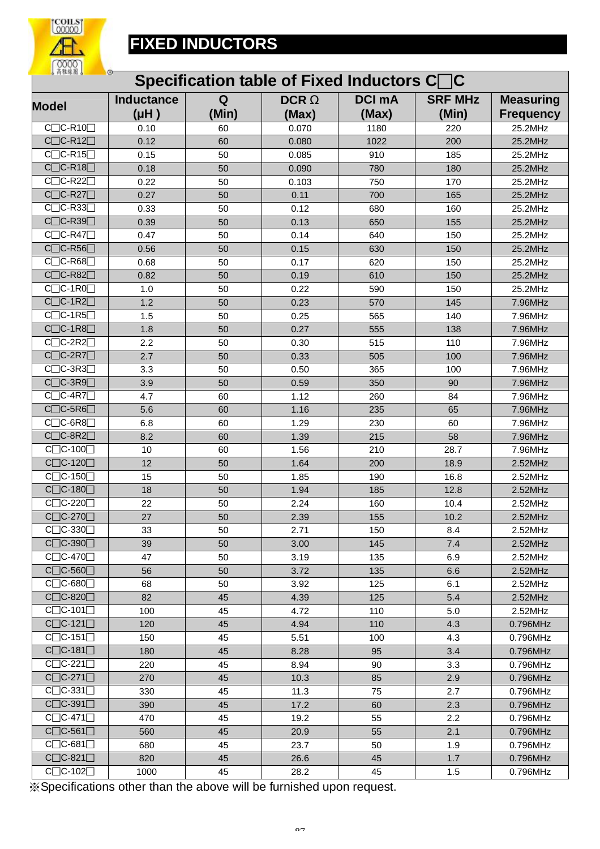

| 6 丙推脲圈 6<br>$\circ$<br>Specification table of Fixed Inductors C□C |                           |            |                      |                        |                         |                                      |  |  |  |
|-------------------------------------------------------------------|---------------------------|------------|----------------------|------------------------|-------------------------|--------------------------------------|--|--|--|
| <b>Model</b>                                                      | <b>Inductance</b><br>(HH) | Q<br>(Min) | <b>DCRW</b><br>(Max) | <b>DCI mA</b><br>(Max) | <b>SRF MHz</b><br>(Min) | <b>Measuring</b><br><b>Frequency</b> |  |  |  |
| $C$ $C$ -R10 $\Box$                                               | 0.10                      | 60         | 0.070                | 1180                   | 220                     | 25.2MHz                              |  |  |  |
| $C$ $C$ -R12 $\Box$                                               | 0.12                      | 60         | 0.080                | 1022                   | 200                     | 25.2MHz                              |  |  |  |
| $C$ $C$ -R15 $\Box$                                               | 0.15                      | 50         | 0.085                | 910                    | 185                     | 25.2MHz                              |  |  |  |
| $C\Box C$ -R18 $\Box$                                             | 0.18                      | 50         | 0.090                | 780                    | 180                     | 25.2MHz                              |  |  |  |
| $\Box$ C-R22 $\Box$<br>$C\Gamma$                                  | 0.22                      | 50         | 0.103                | 750                    | 170                     | 25.2MHz                              |  |  |  |
| $C$ $C$ -R27 $\Box$                                               | 0.27                      | 50         | 0.11                 | 700                    | 165                     | 25.2MHz                              |  |  |  |
| $C$ C-R33                                                         | 0.33                      | 50         | 0.12                 | 680                    | 160                     | 25.2MHz                              |  |  |  |
| $C$ $C$ -R39 $\Box$                                               | 0.39                      | 50         | 0.13                 | 650                    | 155                     | 25.2MHz                              |  |  |  |
| $C$ $C$ -R47 $\Box$                                               | 0.47                      | 50         | 0.14                 | 640                    | 150                     | 25.2MHz                              |  |  |  |
| $C\Box C$ -R56 $\Box$                                             | 0.56                      | 50         | 0.15                 | 630                    | 150                     | 25.2MHz                              |  |  |  |
| $C$ $C$ -R68 $\Box$                                               | 0.68                      | 50         | 0.17                 | 620                    | 150                     | 25.2MHz                              |  |  |  |
| $C$ $C$ -R82 $\Box$                                               | 0.82                      | 50         | 0.19                 | 610                    | 150                     | 25.2MHz                              |  |  |  |
| $C\Box C$ -1R0 $\Box$                                             | 1.0                       | 50         | 0.22                 | 590                    | 150                     | 25.2MHz                              |  |  |  |
| $C$ $C$ -1R2 $\Box$                                               | 1.2                       | 50         | 0.23                 | 570                    | 145                     | 7.96MHz                              |  |  |  |
| $C$ $C$ -1R5 $C$                                                  | 1.5                       | 50         | 0.25                 | 565                    | 140                     | 7.96MHz                              |  |  |  |
| $C$ $C$ -1R8 $\Box$                                               | 1.8                       | 50         | 0.27                 | 555                    | 138                     | 7.96MHz                              |  |  |  |
| $C$ $C$ -2R2 $\Box$                                               | 2.2                       | 50         | 0.30                 | 515                    | 110                     | 7.96MHz                              |  |  |  |
| $\Box$ C-2R7 $\Box$<br>$C\lceil$                                  | 2.7                       | 50         | 0.33                 | 505                    | 100                     | 7.96MHz                              |  |  |  |
| $\Box$ C-3R3 $\Box$<br>Сſ                                         | 3.3                       | 50         | 0.50                 | 365                    | 100                     | 7.96MHz                              |  |  |  |
| $C$ $C$ -3R9 $\Box$                                               | 3.9                       | 50         | 0.59                 | 350                    | 90                      | 7.96MHz                              |  |  |  |
| $C$ $C$ -4R7 $\Box$                                               | 4.7                       | 60         | 1.12                 | 260                    | 84                      | 7.96MHz                              |  |  |  |
| $C$ $C$ -5R6 $\Box$                                               | 5.6                       | 60         | 1.16                 | 235                    | 65                      | 7.96MHz                              |  |  |  |
| $\Box$ C-6R8 $\Box$<br>Сſ                                         | 6.8                       | 60         | 1.29                 | 230                    | 60                      | 7.96MHz                              |  |  |  |
| $C$ $C$ -8R2 $\Box$                                               | 8.2                       | 60         | 1.39                 | 215                    | 58                      | 7.96MHz                              |  |  |  |
| $C$ $C$ -100 $\Box$                                               | 10                        | 60         | 1.56                 | 210                    | 28.7                    | 7.96MHz                              |  |  |  |
| $C$ $C$ -120 $\Box$                                               | 12                        | 50         | 1.64                 | 200                    | 18.9                    | 2.52MHz                              |  |  |  |
| $C$ $C$ -150 $T$                                                  | 15                        | 50         | 1.85                 | 190                    | 16.8                    | 2.52MHz                              |  |  |  |
| C <sub></sub> C-180                                               | 18                        | 50         | 1.94                 | 185                    | 12.8                    | 2.52MHz                              |  |  |  |
| $C$ $C$ -220 $T$                                                  | 22                        | 50         | 2.24                 | 160                    | 10.4                    | 2.52MHz                              |  |  |  |
| $C$ <sub>C</sub> $-270$                                           | 27                        | 50         | 2.39                 | 155                    | 10.2                    | 2.52MHz                              |  |  |  |
| $C$ $C$ -330 $\Box$                                               | 33                        | 50         | 2.71                 | 150                    | 8.4                     | 2.52MHz                              |  |  |  |
| C <sub>D</sub> C-390 <sub>D</sub>                                 | 39                        | 50         | 3.00                 | 145                    | 7.4                     | 2.52MHz                              |  |  |  |
| $C$ $C$ -470 $\Box$                                               | 47                        | 50         | 3.19                 | 135                    | 6.9                     | 2.52MHz                              |  |  |  |
| $C$ $C$ -560 $\Box$                                               | 56                        | 50         | 3.72                 | 135                    | 6.6                     | 2.52MHz                              |  |  |  |
| $C$ $C$ -680 $\Box$                                               | 68                        | 50         | 3.92                 | 125                    | 6.1                     | 2.52MHz                              |  |  |  |
| $C$ $C$ -820 $\Box$                                               | 82                        | 45         | 4.39                 | 125                    | 5.4                     | 2.52MHz                              |  |  |  |
| $C$ $C$ -101 $\Box$                                               | 100                       | 45         | 4.72                 | 110                    | 5.0                     | 2.52MHz                              |  |  |  |
| $\overline{C}$ $C$ -121 $\Box$                                    | 120                       | 45         | 4.94                 | 110                    | 4.3                     | 0.796MHz                             |  |  |  |
| $C$ $C$ -151 $\Box$                                               | 150                       | 45         | 5.51                 | 100                    | 4.3                     | 0.796MHz                             |  |  |  |
| $C$ $C$ -181 $\Box$                                               | 180                       | 45         | 8.28                 | 95                     | 3.4                     | 0.796MHz                             |  |  |  |
|                                                                   |                           |            |                      |                        |                         |                                      |  |  |  |
| $C$ $C$ -221 $\Box$<br>$C$ $C$ -271 $\Box$                        | 220                       | 45         | 8.94                 | 90                     | 3.3                     | 0.796MHz                             |  |  |  |
| $C$ $C$ -331 $\Box$                                               | 270                       | 45         | 10.3                 | 85                     | 2.9                     | 0.796MHz                             |  |  |  |
| $C$ $C$ -391 $\Box$                                               | 330                       | 45         | 11.3                 | 75                     | 2.7                     | 0.796MHz                             |  |  |  |
|                                                                   | 390                       | 45         | 17.2                 | 60                     | 2.3                     | 0.796MHz                             |  |  |  |
| $C$ $C$ -471 $\Box$                                               | 470                       | 45         | 19.2                 | 55                     | 2.2                     | 0.796MHz                             |  |  |  |
| $C$ $C$ -561 $\Box$                                               | 560                       | 45         | 20.9                 | 55                     | 2.1                     | 0.796MHz                             |  |  |  |
| $C$ $C$ -681 $\Box$                                               | 680                       | 45         | 23.7                 | 50                     | 1.9                     | 0.796MHz                             |  |  |  |
| $C$ $C$ -821 $\Box$                                               | 820                       | 45         | 26.6                 | 45                     | 1.7                     | 0.796MHz                             |  |  |  |
| $C$ $C$ -102 $\Box$                                               | 1000                      | 45         | 28.2                 | 45                     | 1.5                     | 0.796MHz                             |  |  |  |